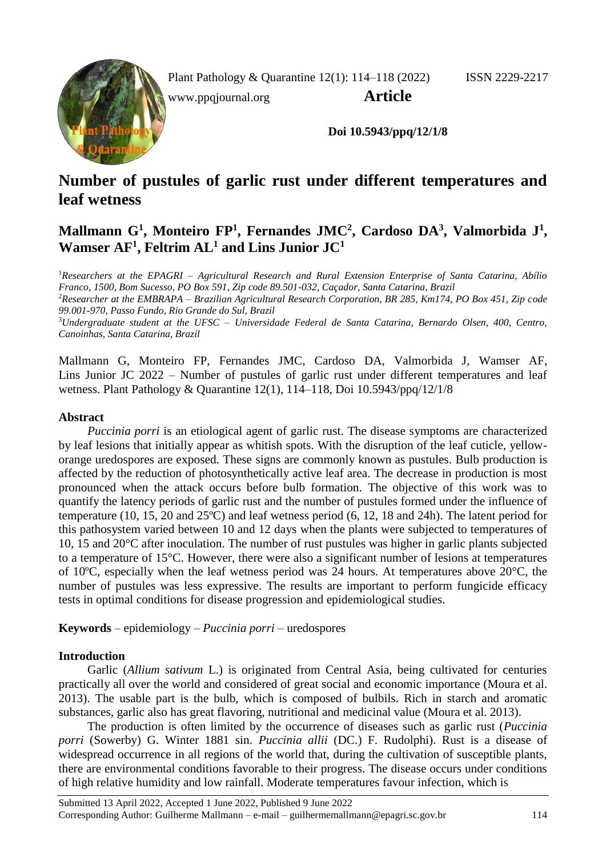Plant Pathology & Quarantine 12(1): 114–118 (2022) ISSN 2229-2217

[www.ppqjournal.org](http://www.ppqjournal.org/) **Article**



**Doi 10.5943/ppq/12/1/8**

# **Number of pustules of garlic rust under different temperatures and leaf wetness**

## **Mallmann G<sup>1</sup> , Monteiro FP<sup>1</sup> , Fernandes JMC<sup>2</sup> , Cardoso DA<sup>3</sup> , Valmorbida J<sup>1</sup> , Wamser AF<sup>1</sup> , Feltrim AL<sup>1</sup> and Lins Junior JC<sup>1</sup>**

<sup>1</sup>*Researchers at the EPAGRI – Agricultural Research and Rural Extension Enterprise of Santa Catarina, Abílio Franco, 1500, Bom Sucesso, PO Box 591, Zip code 89.501-032, Caçador, Santa Catarina, Brazil* <sup>2</sup>*Researcher at the EMBRAPA – Brazilian Agricultural Research Corporation, BR 285, Km174, PO Box 451, Zip code 99.001-970, Passo Fundo, Rio Grande do Sul, Brazil*

<sup>3</sup>*Undergraduate student at the UFSC – Universidade Federal de Santa Catarina, Bernardo Olsen, 400, Centro, Canoinhas, Santa Catarina, Brazil*

Mallmann G, Monteiro FP, Fernandes JMC, Cardoso DA, Valmorbida J, Wamser AF, Lins Junior JC 2022 – Number of pustules of garlic rust under different temperatures and leaf wetness. Plant Pathology & Quarantine 12(1), 114–118, Doi 10.5943/ppq/12/1/8

### **Abstract**

*Puccinia porri* is an etiological agent of garlic rust. The disease symptoms are characterized by leaf lesions that initially appear as whitish spots. With the disruption of the leaf cuticle, yelloworange uredospores are exposed. These signs are commonly known as pustules. Bulb production is affected by the reduction of photosynthetically active leaf area. The decrease in production is most pronounced when the attack occurs before bulb formation. The objective of this work was to quantify the latency periods of garlic rust and the number of pustules formed under the influence of temperature (10, 15, 20 and 25ºC) and leaf wetness period (6, 12, 18 and 24h). The latent period for this pathosystem varied between 10 and 12 days when the plants were subjected to temperatures of 10, 15 and 20°C after inoculation. The number of rust pustules was higher in garlic plants subjected to a temperature of 15°C. However, there were also a significant number of lesions at temperatures of 10ºC, especially when the leaf wetness period was 24 hours. At temperatures above 20°C, the number of pustules was less expressive. The results are important to perform fungicide efficacy tests in optimal conditions for disease progression and epidemiological studies.

**Keywords** – epidemiology – *Puccinia porri* – uredospores

## **Introduction**

Garlic (*Allium sativum* L.) is originated from Central Asia, being cultivated for centuries practically all over the world and considered of great social and economic importance (Moura et al. 2013). The usable part is the bulb, which is composed of bulbils. Rich in starch and aromatic substances, garlic also has great flavoring, nutritional and medicinal value (Moura et al. 2013).

The production is often limited by the occurrence of diseases such as garlic rust (*Puccinia porri* (Sowerby) G. Winter 1881 sin. *Puccinia allii* (DC.) F. Rudolphi). Rust is a disease of widespread occurrence in all regions of the world that, during the cultivation of susceptible plants, there are environmental conditions favorable to their progress. The disease occurs under conditions of high relative humidity and low rainfall. Moderate temperatures favour infection, which is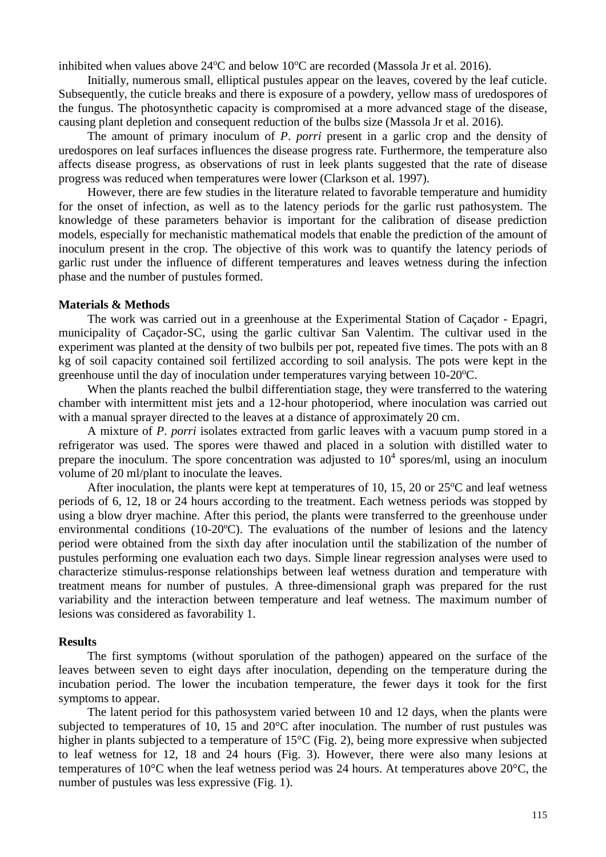inhibited when values above  $24^{\circ}$ C and below  $10^{\circ}$ C are recorded (Massola Jr et al. 2016).

Initially, numerous small, elliptical pustules appear on the leaves, covered by the leaf cuticle. Subsequently, the cuticle breaks and there is exposure of a powdery, yellow mass of uredospores of the fungus. The photosynthetic capacity is compromised at a more advanced stage of the disease, causing plant depletion and consequent reduction of the bulbs size (Massola Jr et al. 2016).

The amount of primary inoculum of *P*. *porri* present in a garlic crop and the density of uredospores on leaf surfaces influences the disease progress rate. Furthermore, the temperature also affects disease progress, as observations of rust in leek plants suggested that the rate of disease progress was reduced when temperatures were lower (Clarkson et al. 1997).

However, there are few studies in the literature related to favorable temperature and humidity for the onset of infection, as well as to the latency periods for the garlic rust pathosystem. The knowledge of these parameters behavior is important for the calibration of disease prediction models, especially for mechanistic mathematical models that enable the prediction of the amount of inoculum present in the crop. The objective of this work was to quantify the latency periods of garlic rust under the influence of different temperatures and leaves wetness during the infection phase and the number of pustules formed.

#### **Materials & Methods**

The work was carried out in a greenhouse at the Experimental Station of Caçador - Epagri, municipality of Caçador-SC, using the garlic cultivar San Valentim. The cultivar used in the experiment was planted at the density of two bulbils per pot, repeated five times. The pots with an 8 kg of soil capacity contained soil fertilized according to soil analysis. The pots were kept in the greenhouse until the day of inoculation under temperatures varying between  $10\n-20^{\circ}\text{C}$ .

When the plants reached the bulbil differentiation stage, they were transferred to the watering chamber with intermittent mist jets and a 12-hour photoperiod, where inoculation was carried out with a manual sprayer directed to the leaves at a distance of approximately 20 cm.

A mixture of *P*. *porri* isolates extracted from garlic leaves with a vacuum pump stored in a refrigerator was used. The spores were thawed and placed in a solution with distilled water to prepare the inoculum. The spore concentration was adjusted to  $10<sup>4</sup>$  spores/ml, using an inoculum volume of 20 ml/plant to inoculate the leaves.

After inoculation, the plants were kept at temperatures of 10, 15, 20 or  $25^{\circ}$ C and leaf wetness periods of 6, 12, 18 or 24 hours according to the treatment. Each wetness periods was stopped by using a blow dryer machine. After this period, the plants were transferred to the greenhouse under environmental conditions (10-20ºC). The evaluations of the number of lesions and the latency period were obtained from the sixth day after inoculation until the stabilization of the number of pustules performing one evaluation each two days. Simple linear regression analyses were used to characterize stimulus-response relationships between leaf wetness duration and temperature with treatment means for number of pustules. A three-dimensional graph was prepared for the rust variability and the interaction between temperature and leaf wetness. The maximum number of lesions was considered as favorability 1.

#### **Results**

The first symptoms (without sporulation of the pathogen) appeared on the surface of the leaves between seven to eight days after inoculation, depending on the temperature during the incubation period. The lower the incubation temperature, the fewer days it took for the first symptoms to appear.

The latent period for this pathosystem varied between 10 and 12 days, when the plants were subjected to temperatures of 10, 15 and 20°C after inoculation. The number of rust pustules was higher in plants subjected to a temperature of 15<sup>o</sup>C (Fig. 2), being more expressive when subjected to leaf wetness for 12, 18 and 24 hours (Fig. 3). However, there were also many lesions at temperatures of 10°C when the leaf wetness period was 24 hours. At temperatures above 20°C, the number of pustules was less expressive (Fig. 1).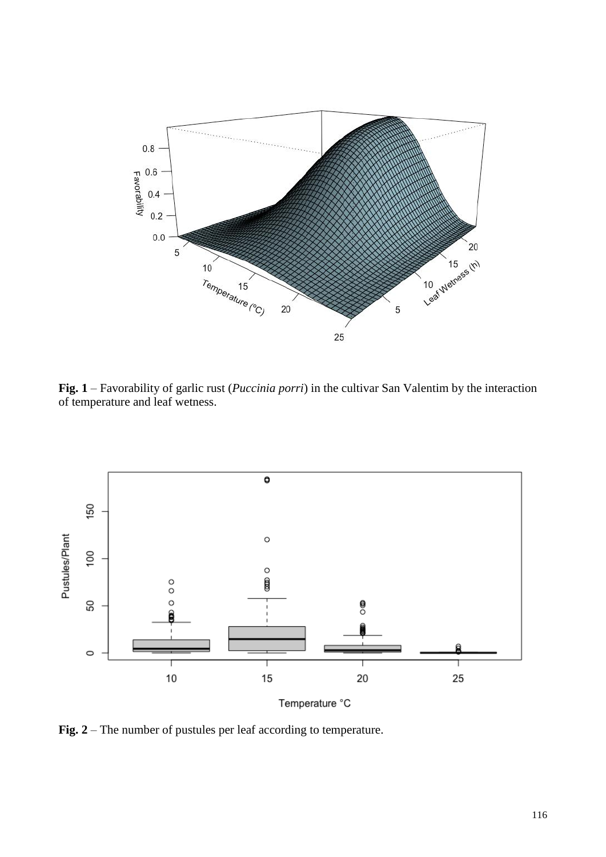

**Fig. 1** – Favorability of garlic rust (*Puccinia porri*) in the cultivar San Valentim by the interaction of temperature and leaf wetness.



**Fig. 2** – The number of pustules per leaf according to temperature.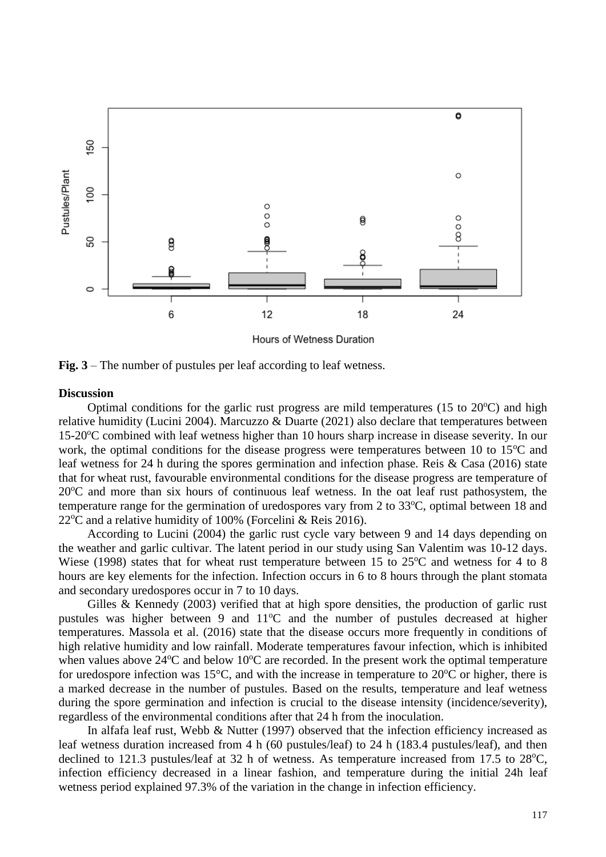

Hours of Wetness Duration

**Fig. 3** – The number of pustules per leaf according to leaf wetness.

#### **Discussion**

Optimal conditions for the garlic rust progress are mild temperatures (15 to  $20^{\circ}$ C) and high relative humidity (Lucini 2004). Marcuzzo & Duarte (2021) also declare that temperatures between 15-20 °C combined with leaf wetness higher than 10 hours sharp increase in disease severity. In our work, the optimal conditions for the disease progress were temperatures between 10 to  $15^{\circ}$ C and leaf wetness for 24 h during the spores germination and infection phase. Reis & Casa (2016) state that for wheat rust, favourable environmental conditions for the disease progress are temperature of  $20^{\circ}$ C and more than six hours of continuous leaf wetness. In the oat leaf rust pathosystem, the temperature range for the germination of uredospores vary from 2 to  $33^{\circ}$ C, optimal between 18 and  $22^{\circ}$ C and a relative humidity of 100% (Forcelini & Reis 2016).

According to Lucini (2004) the garlic rust cycle vary between 9 and 14 days depending on the weather and garlic cultivar. The latent period in our study using San Valentim was 10-12 days. Wiese (1998) states that for wheat rust temperature between 15 to  $25^{\circ}$ C and wetness for 4 to 8 hours are key elements for the infection. Infection occurs in 6 to 8 hours through the plant stomata and secondary uredospores occur in 7 to 10 days.

Gilles & Kennedy (2003) verified that at high spore densities, the production of garlic rust pustules was higher between 9 and  $11^{\circ}$ C and the number of pustules decreased at higher temperatures. Massola et al. (2016) state that the disease occurs more frequently in conditions of high relative humidity and low rainfall. Moderate temperatures favour infection, which is inhibited when values above  $24^{\circ}$ C and below 10 $^{\circ}$ C are recorded. In the present work the optimal temperature for uredospore infection was 15 $^{\circ}$ C, and with the increase in temperature to 20 $^{\circ}$ C or higher, there is a marked decrease in the number of pustules. Based on the results, temperature and leaf wetness during the spore germination and infection is crucial to the disease intensity (incidence/severity), regardless of the environmental conditions after that 24 h from the inoculation.

In alfafa leaf rust, Webb & Nutter (1997) observed that the infection efficiency increased as leaf wetness duration increased from 4 h (60 pustules/leaf) to 24 h (183.4 pustules/leaf), and then declined to 121.3 pustules/leaf at 32 h of wetness. As temperature increased from 17.5 to  $28^{\circ}$ C, infection efficiency decreased in a linear fashion, and temperature during the initial 24h leaf wetness period explained 97.3% of the variation in the change in infection efficiency.